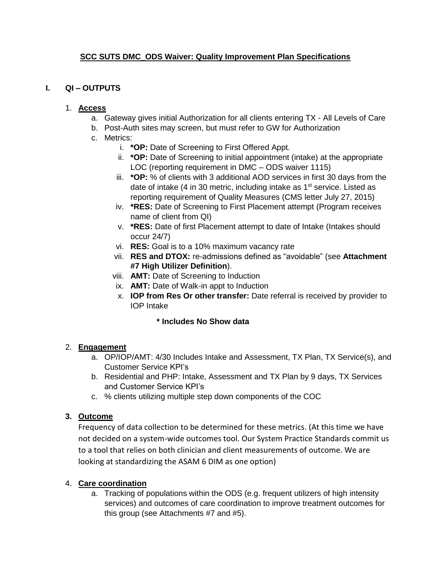# **SCC SUTS DMC\_ODS Waiver: Quality Improvement Plan Specifications**

## **I. QI – OUTPUTS**

### 1. **Access**

- a. Gateway gives initial Authorization for all clients entering TX All Levels of Care
- b. Post-Auth sites may screen, but must refer to GW for Authorization
- c. Metrics:
	- i. **\*OP:** Date of Screening to First Offered Appt.
	- ii. **\*OP:** Date of Screening to initial appointment (intake) at the appropriate LOC (reporting requirement in DMC – ODS waiver 1115)
	- iii. **\*OP:** % of clients with 3 additional AOD services in first 30 days from the date of intake (4 in 30 metric, including intake as  $1<sup>st</sup>$  service. Listed as reporting requirement of Quality Measures (CMS letter July 27, 2015)
	- iv. **\*RES:** Date of Screening to First Placement attempt (Program receives name of client from QI)
	- v. **\*RES:** Date of first Placement attempt to date of Intake (Intakes should occur 24/7)
	- vi. **RES:** Goal is to a 10% maximum vacancy rate
	- vii. **RES and DTOX:** re-admissions defined as "avoidable" (see **Attachment #7 High Utilizer Definition**).
	- viii. **AMT:** Date of Screening to Induction
	- ix. **AMT:** Date of Walk-in appt to Induction
	- x. **IOP from Res Or other transfer:** Date referral is received by provider to IOP Intake

### **\* Includes No Show data**

# 2. **Engagement**

- a. OP/IOP/AMT: 4/30 Includes Intake and Assessment, TX Plan, TX Service(s), and Customer Service KPI's
- b. Residential and PHP: Intake, Assessment and TX Plan by 9 days, TX Services and Customer Service KPI's
- c. % clients utilizing multiple step down components of the COC

# **3. Outcome**

Frequency of data collection to be determined for these metrics. (At this time we have not decided on a system-wide outcomes tool. Our System Practice Standards commit us to a tool that relies on both clinician and client measurements of outcome. We are looking at standardizing the ASAM 6 DIM as one option)

# 4. **Care coordination**

a. Tracking of populations within the ODS (e.g. frequent utilizers of high intensity services) and outcomes of care coordination to improve treatment outcomes for this group (see Attachments #7 and #5).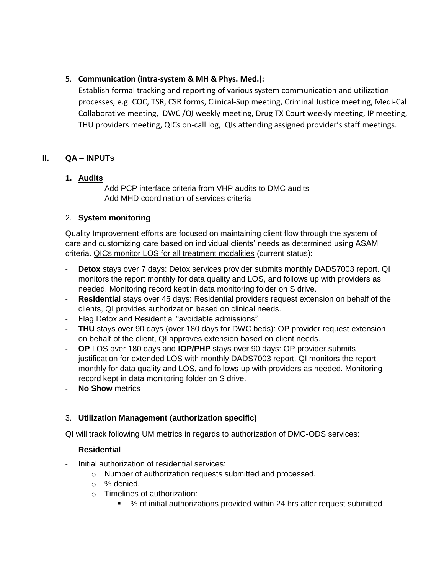# 5. **Communication (intra-system & MH & Phys. Med.):**

Establish formal tracking and reporting of various system communication and utilization processes, e.g. COC, TSR, CSR forms, Clinical-Sup meeting, Criminal Justice meeting, Medi-Cal Collaborative meeting, DWC /QI weekly meeting, Drug TX Court weekly meeting, IP meeting, THU providers meeting, QICs on-call log, QIs attending assigned provider's staff meetings.

# **II. QA – INPUTs**

# **1. Audits**

- Add PCP interface criteria from VHP audits to DMC audits
- Add MHD coordination of services criteria

# 2. **System monitoring**

Quality Improvement efforts are focused on maintaining client flow through the system of care and customizing care based on individual clients' needs as determined using ASAM criteria. QICs monitor LOS for all treatment modalities (current status):

- **Detox** stays over 7 days: Detox services provider submits monthly DADS7003 report. QI monitors the report monthly for data quality and LOS, and follows up with providers as needed. Monitoring record kept in data monitoring folder on S drive.
- **Residential** stays over 45 days: Residential providers request extension on behalf of the clients, QI provides authorization based on clinical needs.
- Flag Detox and Residential "avoidable admissions"
- **THU** stays over 90 days (over 180 days for DWC beds): OP provider request extension on behalf of the client, QI approves extension based on client needs.
- **OP** LOS over 180 days and **IOP/PHP** stays over 90 days: OP provider submits justification for extended LOS with monthly DADS7003 report. QI monitors the report monthly for data quality and LOS, and follows up with providers as needed. Monitoring record kept in data monitoring folder on S drive.
- **No Show** metrics

# 3. **Utilization Management (authorization specific)**

QI will track following UM metrics in regards to authorization of DMC-ODS services:

### **Residential**

- Initial authorization of residential services:
	- o Number of authorization requests submitted and processed.
	- o % denied.
	- o Timelines of authorization:
		- % of initial authorizations provided within 24 hrs after request submitted